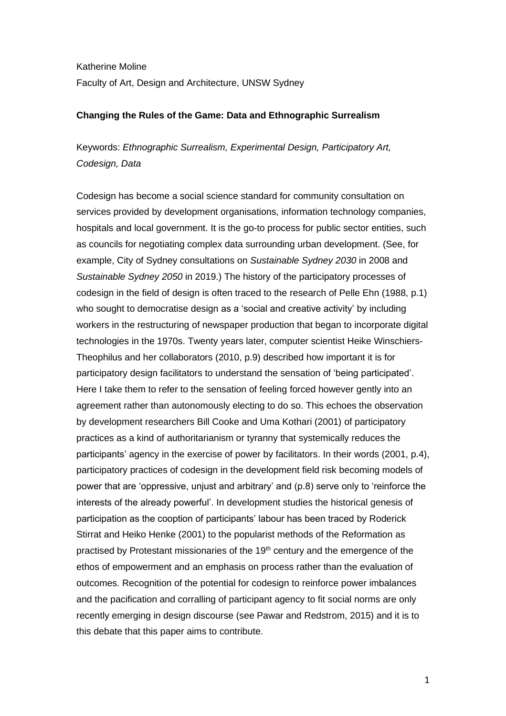Katherine Moline Faculty of Art, Design and Architecture, UNSW Sydney

## **Changing the Rules of the Game: Data and Ethnographic Surrealism**

Keywords: *Ethnographic Surrealism, Experimental Design, Participatory Art, Codesign, Data*

Codesign has become a social science standard for community consultation on services provided by development organisations, information technology companies, hospitals and local government. It is the go-to process for public sector entities, such as councils for negotiating complex data surrounding urban development. (See, for example, City of Sydney consultations on *Sustainable Sydney 2030* in 2008 and *Sustainable Sydney 2050* in 2019.) The history of the participatory processes of codesign in the field of design is often traced to the research of Pelle Ehn (1988, p.1) who sought to democratise design as a 'social and creative activity' by including workers in the restructuring of newspaper production that began to incorporate digital technologies in the 1970s. Twenty years later, computer scientist Heike Winschiers-Theophilus and her collaborators (2010, p.9) described how important it is for participatory design facilitators to understand the sensation of 'being participated'. Here I take them to refer to the sensation of feeling forced however gently into an agreement rather than autonomously electing to do so. This echoes the observation by development researchers Bill Cooke and Uma Kothari (2001) of participatory practices as a kind of authoritarianism or tyranny that systemically reduces the participants' agency in the exercise of power by facilitators. In their words (2001, p.4), participatory practices of codesign in the development field risk becoming models of power that are 'oppressive, unjust and arbitrary' and (p.8) serve only to 'reinforce the interests of the already powerful'. In development studies the historical genesis of participation as the cooption of participants' labour has been traced by Roderick Stirrat and Heiko Henke (2001) to the popularist methods of the Reformation as practised by Protestant missionaries of the 19<sup>th</sup> century and the emergence of the ethos of empowerment and an emphasis on process rather than the evaluation of outcomes. Recognition of the potential for codesign to reinforce power imbalances and the pacification and corralling of participant agency to fit social norms are only recently emerging in design discourse (see Pawar and Redstrom, 2015) and it is to this debate that this paper aims to contribute.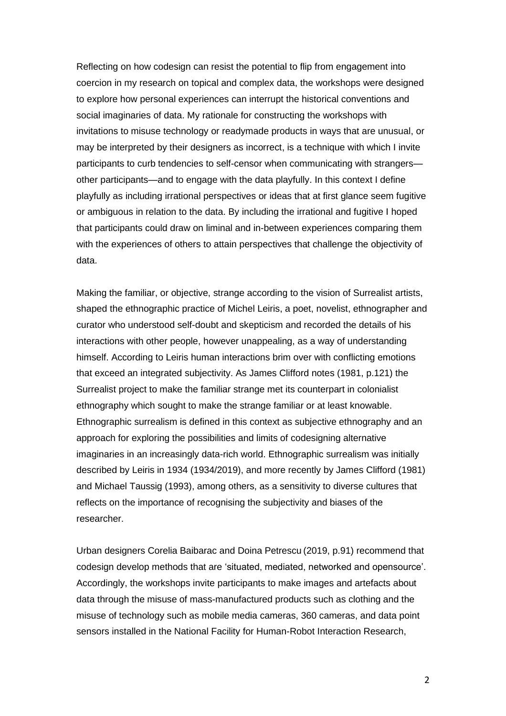Reflecting on how codesign can resist the potential to flip from engagement into coercion in my research on topical and complex data, the workshops were designed to explore how personal experiences can interrupt the historical conventions and social imaginaries of data. My rationale for constructing the workshops with invitations to misuse technology or readymade products in ways that are unusual, or may be interpreted by their designers as incorrect, is a technique with which I invite participants to curb tendencies to self-censor when communicating with strangers other participants—and to engage with the data playfully. In this context I define playfully as including irrational perspectives or ideas that at first glance seem fugitive or ambiguous in relation to the data. By including the irrational and fugitive I hoped that participants could draw on liminal and in-between experiences comparing them with the experiences of others to attain perspectives that challenge the objectivity of data.

Making the familiar, or objective, strange according to the vision of Surrealist artists, shaped the ethnographic practice of Michel Leiris, a poet, novelist, ethnographer and curator who understood self-doubt and skepticism and recorded the details of his interactions with other people, however unappealing, as a way of understanding himself. According to Leiris human interactions brim over with conflicting emotions that exceed an integrated subjectivity. As James Clifford notes (1981, p.121) the Surrealist project to make the familiar strange met its counterpart in colonialist ethnography which sought to make the strange familiar or at least knowable. Ethnographic surrealism is defined in this context as subjective ethnography and an approach for exploring the possibilities and limits of codesigning alternative imaginaries in an increasingly data-rich world. Ethnographic surrealism was initially described by Leiris in 1934 (1934/2019), and more recently by James Clifford (1981) and Michael Taussig (1993), among others, as a sensitivity to diverse cultures that reflects on the importance of recognising the subjectivity and biases of the researcher.

Urban designers Corelia Baibarac and Doina Petrescu (2019, p.91) recommend that codesign develop methods that are 'situated, mediated, networked and opensource'. Accordingly, the workshops invite participants to make images and artefacts about data through the misuse of mass-manufactured products such as clothing and the misuse of technology such as mobile media cameras, 360 cameras, and data point sensors installed in the National Facility for Human-Robot Interaction Research,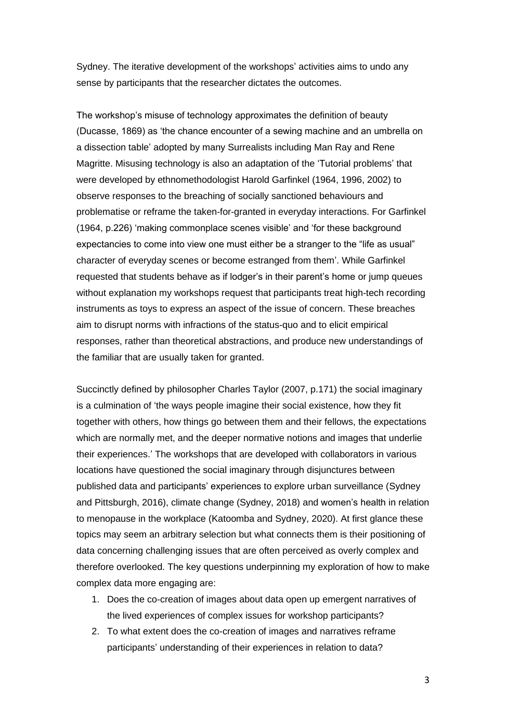Sydney. The iterative development of the workshops' activities aims to undo any sense by participants that the researcher dictates the outcomes.

The workshop's misuse of technology approximates the definition of beauty (Ducasse, 1869) as 'the chance encounter of a sewing machine and an umbrella on a dissection table' adopted by many Surrealists including Man Ray and Rene Magritte. Misusing technology is also an adaptation of the 'Tutorial problems' that were developed by ethnomethodologist Harold Garfinkel (1964, 1996, 2002) to observe responses to the breaching of socially sanctioned behaviours and problematise or reframe the taken-for-granted in everyday interactions. For Garfinkel (1964, p.226) 'making commonplace scenes visible' and 'for these background expectancies to come into view one must either be a stranger to the "life as usual" character of everyday scenes or become estranged from them'. While Garfinkel requested that students behave as if lodger's in their parent's home or jump queues without explanation my workshops request that participants treat high-tech recording instruments as toys to express an aspect of the issue of concern. These breaches aim to disrupt norms with infractions of the status-quo and to elicit empirical responses, rather than theoretical abstractions, and produce new understandings of the familiar that are usually taken for granted.

Succinctly defined by philosopher Charles Taylor (2007, p.171) the social imaginary is a culmination of 'the ways people imagine their social existence, how they fit together with others, how things go between them and their fellows, the expectations which are normally met, and the deeper normative notions and images that underlie their experiences.' The workshops that are developed with collaborators in various locations have questioned the social imaginary through disjunctures between published data and participants' experiences to explore urban surveillance (Sydney and Pittsburgh, 2016), climate change (Sydney, 2018) and women's health in relation to menopause in the workplace (Katoomba and Sydney, 2020). At first glance these topics may seem an arbitrary selection but what connects them is their positioning of data concerning challenging issues that are often perceived as overly complex and therefore overlooked. The key questions underpinning my exploration of how to make complex data more engaging are:

- 1. Does the co-creation of images about data open up emergent narratives of the lived experiences of complex issues for workshop participants?
- 2. To what extent does the co-creation of images and narratives reframe participants' understanding of their experiences in relation to data?

3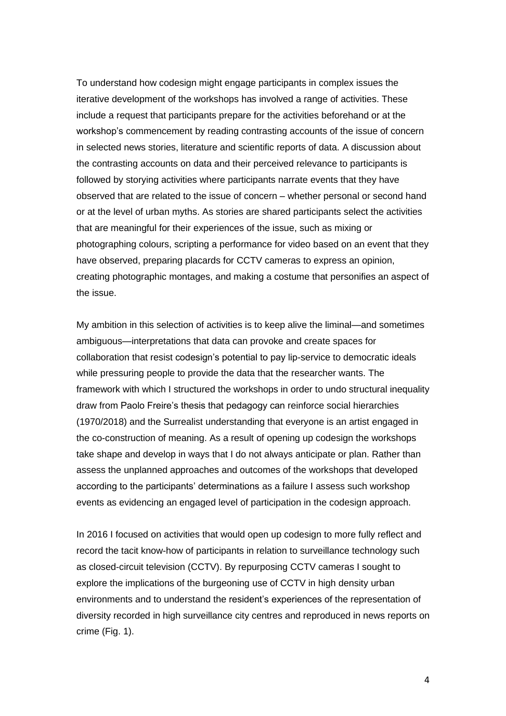To understand how codesign might engage participants in complex issues the iterative development of the workshops has involved a range of activities. These include a request that participants prepare for the activities beforehand or at the workshop's commencement by reading contrasting accounts of the issue of concern in selected news stories, literature and scientific reports of data. A discussion about the contrasting accounts on data and their perceived relevance to participants is followed by storying activities where participants narrate events that they have observed that are related to the issue of concern – whether personal or second hand or at the level of urban myths. As stories are shared participants select the activities that are meaningful for their experiences of the issue, such as mixing or photographing colours, scripting a performance for video based on an event that they have observed, preparing placards for CCTV cameras to express an opinion, creating photographic montages, and making a costume that personifies an aspect of the issue.

My ambition in this selection of activities is to keep alive the liminal—and sometimes ambiguous—interpretations that data can provoke and create spaces for collaboration that resist codesign's potential to pay lip-service to democratic ideals while pressuring people to provide the data that the researcher wants. The framework with which I structured the workshops in order to undo structural inequality draw from Paolo Freire's thesis that pedagogy can reinforce social hierarchies (1970/2018) and the Surrealist understanding that everyone is an artist engaged in the co-construction of meaning. As a result of opening up codesign the workshops take shape and develop in ways that I do not always anticipate or plan. Rather than assess the unplanned approaches and outcomes of the workshops that developed according to the participants' determinations as a failure I assess such workshop events as evidencing an engaged level of participation in the codesign approach.

In 2016 I focused on activities that would open up codesign to more fully reflect and record the tacit know-how of participants in relation to surveillance technology such as closed-circuit television (CCTV). By repurposing CCTV cameras I sought to explore the implications of the burgeoning use of CCTV in high density urban environments and to understand the resident's experiences of the representation of diversity recorded in high surveillance city centres and reproduced in news reports on crime (Fig. 1).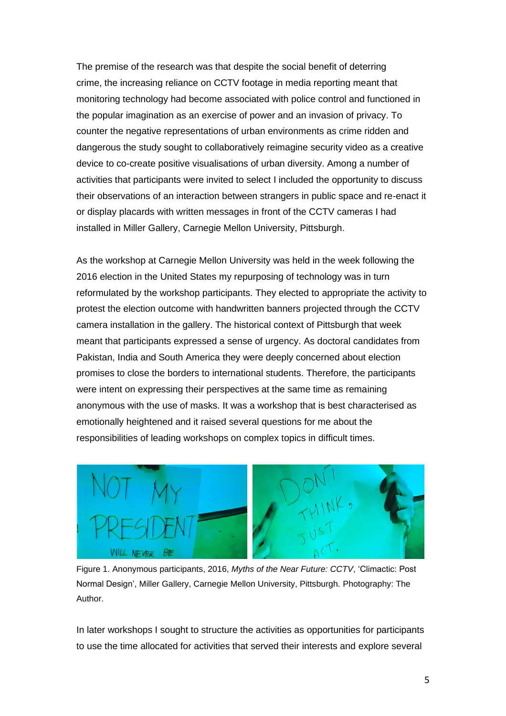The premise of the research was that despite the social benefit of deterring crime, the increasing reliance on CCTV footage in media reporting meant that monitoring technology had become associated with police control and functioned in the popular imagination as an exercise of power and an invasion of privacy. To counter the negative representations of urban environments as crime ridden and dangerous the study sought to collaboratively reimagine security video as a creative device to co-create positive visualisations of urban diversity. Among a number of activities that participants were invited to select I included the opportunity to discuss their observations of an interaction between strangers in public space and re-enact it or display placards with written messages in front of the CCTV cameras I had installed in Miller Gallery, Carnegie Mellon University, Pittsburgh.

As the workshop at Carnegie Mellon University was held in the week following the 2016 election in the United States my repurposing of technology was in turn reformulated by the workshop participants. They elected to appropriate the activity to protest the election outcome with handwritten banners projected through the CCTV camera installation in the gallery. The historical context of Pittsburgh that week meant that participants expressed a sense of urgency. As doctoral candidates from Pakistan, India and South America they were deeply concerned about election promises to close the borders to international students. Therefore, the participants were intent on expressing their perspectives at the same time as remaining anonymous with the use of masks. It was a workshop that is best characterised as emotionally heightened and it raised several questions for me about the responsibilities of leading workshops on complex topics in difficult times.



Figure 1. Anonymous participants, 2016, *Myths of the Near Future: CCTV*, 'Climactic: Post Normal Design', Miller Gallery, Carnegie Mellon University, Pittsburgh. Photography: The Author.

In later workshops I sought to structure the activities as opportunities for participants to use the time allocated for activities that served their interests and explore several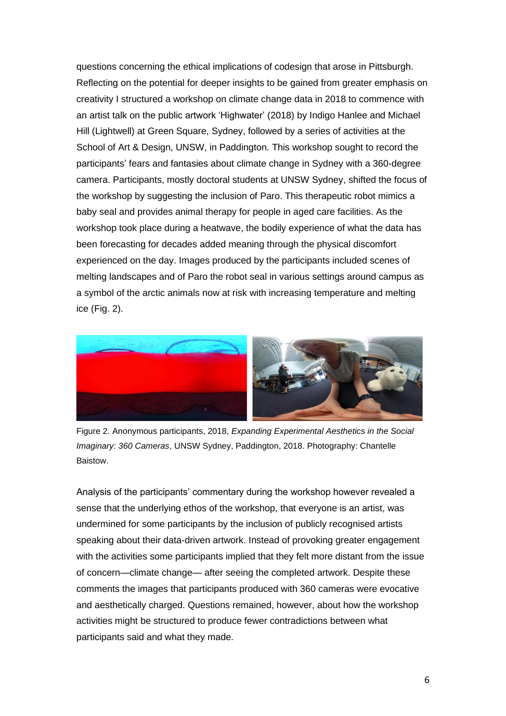questions concerning the ethical implications of codesign that arose in Pittsburgh. Reflecting on the potential for deeper insights to be gained from greater emphasis on creativity I structured a workshop on climate change data in 2018 to commence with an artist talk on the public artwork 'Highwater' (2018) by Indigo Hanlee and Michael Hill (Lightwell) at Green Square, Sydney, followed by a series of activities at the School of Art & Design, UNSW, in Paddington. This workshop sought to record the participants' fears and fantasies about climate change in Sydney with a 360-degree camera. Participants, mostly doctoral students at UNSW Sydney, shifted the focus of the workshop by suggesting the inclusion of Paro. This therapeutic robot mimics a baby seal and provides animal therapy for people in aged care facilities. As the workshop took place during a heatwave, the bodily experience of what the data has been forecasting for decades added meaning through the physical discomfort experienced on the day. Images produced by the participants included scenes of melting landscapes and of Paro the robot seal in various settings around campus as a symbol of the arctic animals now at risk with increasing temperature and melting ice (Fig. 2).



Figure 2. Anonymous participants, 2018, *Expanding Experimental Aesthetics in the Social Imaginary: 360 Cameras*, UNSW Sydney, Paddington, 2018. Photography: Chantelle Baistow.

Analysis of the participants' commentary during the workshop however revealed a sense that the underlying ethos of the workshop, that everyone is an artist, was undermined for some participants by the inclusion of publicly recognised artists speaking about their data-driven artwork. Instead of provoking greater engagement with the activities some participants implied that they felt more distant from the issue of concern—climate change— after seeing the completed artwork. Despite these comments the images that participants produced with 360 cameras were evocative and aesthetically charged. Questions remained, however, about how the workshop activities might be structured to produce fewer contradictions between what participants said and what they made.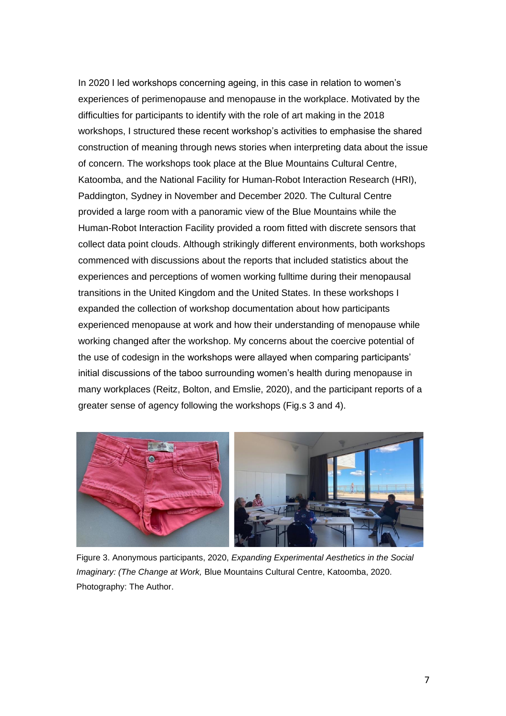In 2020 I led workshops concerning ageing, in this case in relation to women's experiences of perimenopause and menopause in the workplace. Motivated by the difficulties for participants to identify with the role of art making in the 2018 workshops, I structured these recent workshop's activities to emphasise the shared construction of meaning through news stories when interpreting data about the issue of concern. The workshops took place at the Blue Mountains Cultural Centre, Katoomba, and the National Facility for Human-Robot Interaction Research (HRI), Paddington, Sydney in November and December 2020. The Cultural Centre provided a large room with a panoramic view of the Blue Mountains while the Human-Robot Interaction Facility provided a room fitted with discrete sensors that collect data point clouds. Although strikingly different environments, both workshops commenced with discussions about the reports that included statistics about the experiences and perceptions of women working fulltime during their menopausal transitions in the United Kingdom and the United States. In these workshops I expanded the collection of workshop documentation about how participants experienced menopause at work and how their understanding of menopause while working changed after the workshop. My concerns about the coercive potential of the use of codesign in the workshops were allayed when comparing participants' initial discussions of the taboo surrounding women's health during menopause in many workplaces (Reitz, Bolton, and Emslie, 2020), and the participant reports of a greater sense of agency following the workshops (Fig.s 3 and 4).



Figure 3. Anonymous participants, 2020, *Expanding Experimental Aesthetics in the Social Imaginary: (The Change at Work,* Blue Mountains Cultural Centre, Katoomba, 2020. Photography: The Author.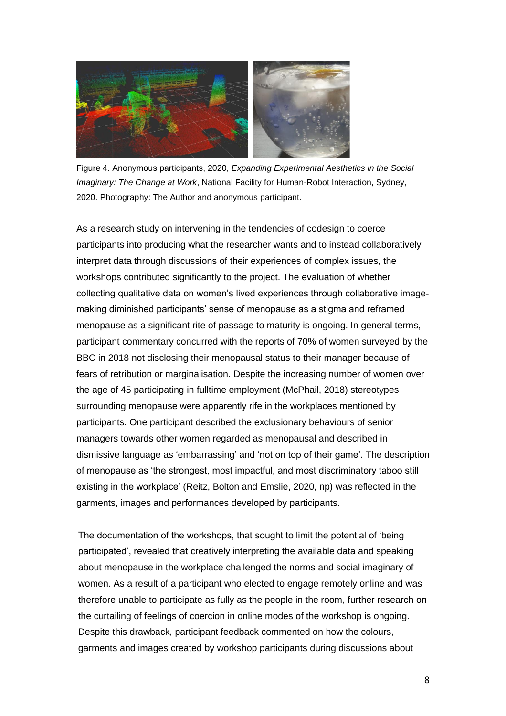

Figure 4. Anonymous participants, 2020, *Expanding Experimental Aesthetics in the Social Imaginary: The Change at Work*, National Facility for Human-Robot Interaction, Sydney, 2020. Photography: The Author and anonymous participant.

As a research study on intervening in the tendencies of codesign to coerce participants into producing what the researcher wants and to instead collaboratively interpret data through discussions of their experiences of complex issues, the workshops contributed significantly to the project. The evaluation of whether collecting qualitative data on women's lived experiences through collaborative imagemaking diminished participants' sense of menopause as a stigma and reframed menopause as a significant rite of passage to maturity is ongoing. In general terms, participant commentary concurred with the reports of 70% of women surveyed by the BBC in 2018 not disclosing their menopausal status to their manager because of fears of retribution or marginalisation. Despite the increasing number of women over the age of 45 participating in fulltime employment (McPhail, 2018) stereotypes surrounding menopause were apparently rife in the workplaces mentioned by participants. One participant described the exclusionary behaviours of senior managers towards other women regarded as menopausal and described in dismissive language as 'embarrassing' and 'not on top of their game'. The description of menopause as 'the strongest, most impactful, and most discriminatory taboo still existing in the workplace' (Reitz, Bolton and Emslie, 2020, np) was reflected in the garments, images and performances developed by participants.

The documentation of the workshops, that sought to limit the potential of 'being participated', revealed that creatively interpreting the available data and speaking about menopause in the workplace challenged the norms and social imaginary of women. As a result of a participant who elected to engage remotely online and was therefore unable to participate as fully as the people in the room, further research on the curtailing of feelings of coercion in online modes of the workshop is ongoing. Despite this drawback, participant feedback commented on how the colours, garments and images created by workshop participants during discussions about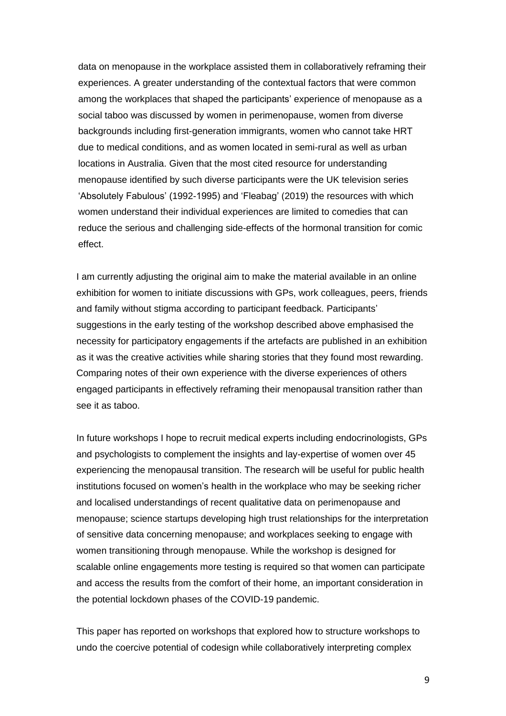data on menopause in the workplace assisted them in collaboratively reframing their experiences. A greater understanding of the contextual factors that were common among the workplaces that shaped the participants' experience of menopause as a social taboo was discussed by women in perimenopause, women from diverse backgrounds including first-generation immigrants, women who cannot take HRT due to medical conditions, and as women located in semi-rural as well as urban locations in Australia. Given that the most cited resource for understanding menopause identified by such diverse participants were the UK television series 'Absolutely Fabulous' (1992-1995) and 'Fleabag' (2019) the resources with which women understand their individual experiences are limited to comedies that can reduce the serious and challenging side-effects of the hormonal transition for comic effect.

I am currently adjusting the original aim to make the material available in an online exhibition for women to initiate discussions with GPs, work colleagues, peers, friends and family without stigma according to participant feedback. Participants' suggestions in the early testing of the workshop described above emphasised the necessity for participatory engagements if the artefacts are published in an exhibition as it was the creative activities while sharing stories that they found most rewarding. Comparing notes of their own experience with the diverse experiences of others engaged participants in effectively reframing their menopausal transition rather than see it as taboo.

In future workshops I hope to recruit medical experts including endocrinologists, GPs and psychologists to complement the insights and lay-expertise of women over 45 experiencing the menopausal transition. The research will be useful for public health institutions focused on women's health in the workplace who may be seeking richer and localised understandings of recent qualitative data on perimenopause and menopause; science startups developing high trust relationships for the interpretation of sensitive data concerning menopause; and workplaces seeking to engage with women transitioning through menopause. While the workshop is designed for scalable online engagements more testing is required so that women can participate and access the results from the comfort of their home, an important consideration in the potential lockdown phases of the COVID-19 pandemic.

This paper has reported on workshops that explored how to structure workshops to undo the coercive potential of codesign while collaboratively interpreting complex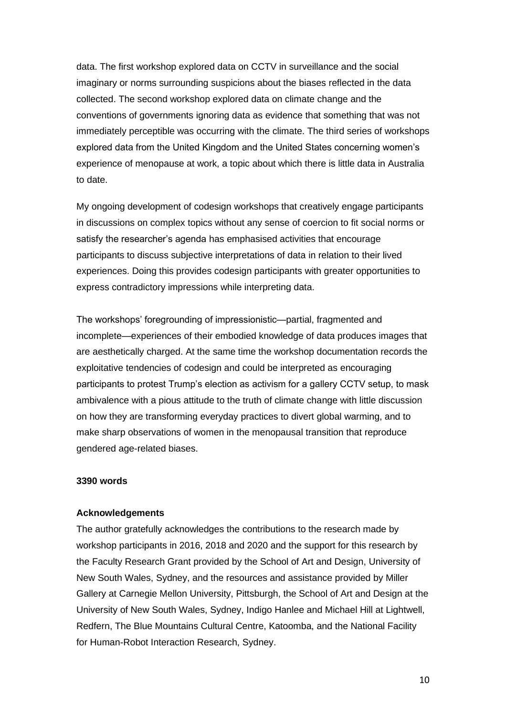data. The first workshop explored data on CCTV in surveillance and the social imaginary or norms surrounding suspicions about the biases reflected in the data collected. The second workshop explored data on climate change and the conventions of governments ignoring data as evidence that something that was not immediately perceptible was occurring with the climate. The third series of workshops explored data from the United Kingdom and the United States concerning women's experience of menopause at work, a topic about which there is little data in Australia to date.

My ongoing development of codesign workshops that creatively engage participants in discussions on complex topics without any sense of coercion to fit social norms or satisfy the researcher's agenda has emphasised activities that encourage participants to discuss subjective interpretations of data in relation to their lived experiences. Doing this provides codesign participants with greater opportunities to express contradictory impressions while interpreting data.

The workshops' foregrounding of impressionistic—partial, fragmented and incomplete—experiences of their embodied knowledge of data produces images that are aesthetically charged. At the same time the workshop documentation records the exploitative tendencies of codesign and could be interpreted as encouraging participants to protest Trump's election as activism for a gallery CCTV setup, to mask ambivalence with a pious attitude to the truth of climate change with little discussion on how they are transforming everyday practices to divert global warming, and to make sharp observations of women in the menopausal transition that reproduce gendered age-related biases.

## **3390 words**

## **Acknowledgements**

The author gratefully acknowledges the contributions to the research made by workshop participants in 2016, 2018 and 2020 and the support for this research by the Faculty Research Grant provided by the School of Art and Design, University of New South Wales, Sydney, and the resources and assistance provided by Miller Gallery at Carnegie Mellon University, Pittsburgh, the School of Art and Design at the University of New South Wales, Sydney, Indigo Hanlee and Michael Hill at Lightwell, Redfern, The Blue Mountains Cultural Centre, Katoomba, and the National Facility for Human-Robot Interaction Research, Sydney.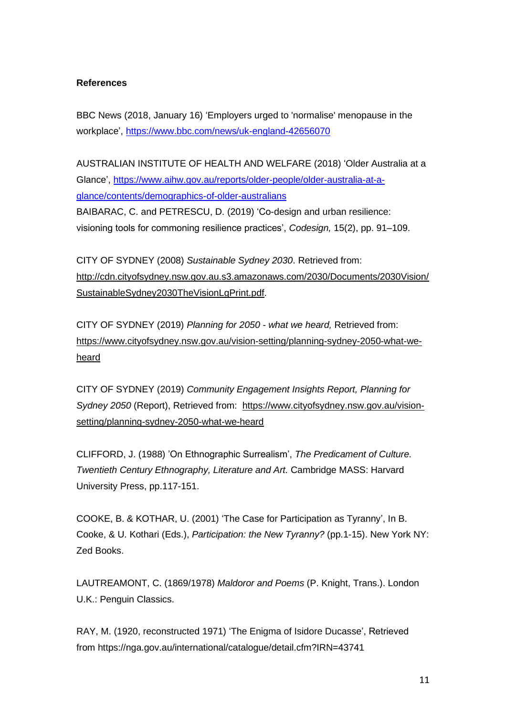## **References**

BBC News (2018, January 16) 'Employers urged to 'normalise' menopause in the workplace',<https://www.bbc.com/news/uk-england-42656070>

AUSTRALIAN INSTITUTE OF HEALTH AND WELFARE (2018) 'Older Australia at a Glance', [https://www.aihw.gov.au/reports/older-people/older-australia-at-a](https://www.aihw.gov.au/reports/older-people/older-australia-at-a-glance/contents/demographics-of-older-australians)[glance/contents/demographics-of-older-australians](https://www.aihw.gov.au/reports/older-people/older-australia-at-a-glance/contents/demographics-of-older-australians)

BAIBARAC, C. and PETRESCU, D. (2019) 'Co-design and urban resilience: visioning tools for commoning resilience practices', *Codesign,* 15(2), pp. 91–109.

CITY OF SYDNEY (2008) *Sustainable Sydney 2030*. Retrieved from: [http://cdn.cityofsydney.nsw.gov.au.s3.amazonaws.com/2030/Documents/2030Vision/](http://cdn.cityofsydney.nsw.gov.au.s3.amazonaws.com/2030/Documents/2030Vision/SustainableSydney2030TheVisionLgPrint.pdf) [SustainableSydney2030TheVisionLgPrint.pdf.](http://cdn.cityofsydney.nsw.gov.au.s3.amazonaws.com/2030/Documents/2030Vision/SustainableSydney2030TheVisionLgPrint.pdf)

CITY OF SYDNEY (2019) *Planning for 2050 - what we heard,* Retrieved from: [https://www.cityofsydney.nsw.gov.au/vision-setting/planning-sydney-2050-what-we](https://www.cityofsydney.nsw.gov.au/vision-setting/planning-sydney-2050-what-we-heard)[heard](https://www.cityofsydney.nsw.gov.au/vision-setting/planning-sydney-2050-what-we-heard)

CITY OF SYDNEY (2019) *Community Engagement Insights Report, Planning for Sydney 2050* (Report), Retrieved from: [https://www.cityofsydney.nsw.gov.au/vision](https://www.cityofsydney.nsw.gov.au/vision-setting/planning-sydney-2050-what-we-heard)[setting/planning-sydney-2050-what-we-heard](https://www.cityofsydney.nsw.gov.au/vision-setting/planning-sydney-2050-what-we-heard)

CLIFFORD, J. (1988) 'On Ethnographic Surrealism', *The Predicament of Culture. Twentieth Century Ethnography, Literature and Art.* Cambridge MASS: Harvard University Press, pp.117-151.

COOKE, B. & KOTHAR, U. (2001) 'The Case for Participation as Tyranny', In B. Cooke, & U. Kothari (Eds.), *Participation: the New Tyranny?* (pp.1-15). New York NY: Zed Books.

LAUTREAMONT, C. (1869/1978) *Maldoror and Poems* (P. Knight, Trans.). London U.K.: Penguin Classics.

RAY, M. (1920, reconstructed 1971) 'The Enigma of Isidore Ducasse', Retrieved from https://nga.gov.au/international/catalogue/detail.cfm?IRN=43741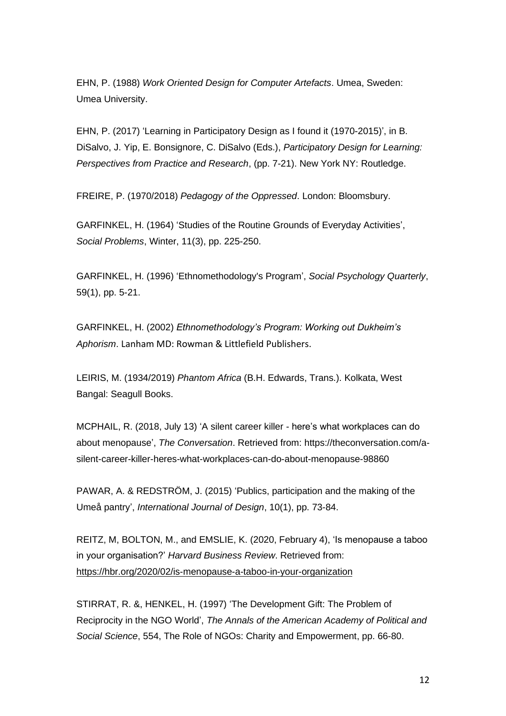EHN, P. (1988) *Work Oriented Design for Computer Artefacts*. Umea, Sweden: Umea University.

EHN, P. (2017) 'Learning in Participatory Design as I found it (1970-2015)', in B. DiSalvo, J. Yip, E. Bonsignore, C. DiSalvo (Eds.), *Participatory Design for Learning: Perspectives from Practice and Research*, (pp. 7-21). New York NY: Routledge.

FREIRE, P. (1970/2018) *Pedagogy of the Oppressed*. London: Bloomsbury.

GARFINKEL, H. (1964) 'Studies of the Routine Grounds of Everyday Activities', *Social Problems*, Winter, 11(3), pp. 225-250.

GARFINKEL, H. (1996) 'Ethnomethodology's Program', *Social Psychology Quarterly*, 59(1), pp. 5-21.

GARFINKEL, H. (2002) *Ethnomethodology's Program: Working out Dukheim's Aphorism*. Lanham MD: Rowman & Littlefield Publishers.

LEIRIS, M. (1934/2019) *Phantom Africa* (B.H. Edwards, Trans.). Kolkata, West Bangal: Seagull Books.

MCPHAIL, R. (2018, July 13) 'A silent career killer - here's what workplaces can do about menopause', *The Conversation*. Retrieved from: https://theconversation.com/asilent-career-killer-heres-what-workplaces-can-do-about-menopause-98860

PAWAR, A. & REDSTRÖM, J. (2015) 'Publics, participation and the making of the Umeå pantry', *International Journal of Design*, 10(1), pp. 73-84.

REITZ, M, BOLTON, M., and EMSLIE, K. (2020, February 4), 'Is menopause a taboo in your organisation?' *Harvard Business Review*. Retrieved from: <https://hbr.org/2020/02/is-menopause-a-taboo-in-your-organization>

STIRRAT, R. &, HENKEL, H. (1997) 'The Development Gift: The Problem of Reciprocity in the NGO World', *The Annals of the American Academy of Political and Social Science*, 554, The Role of NGOs: Charity and Empowerment, pp. 66-80.